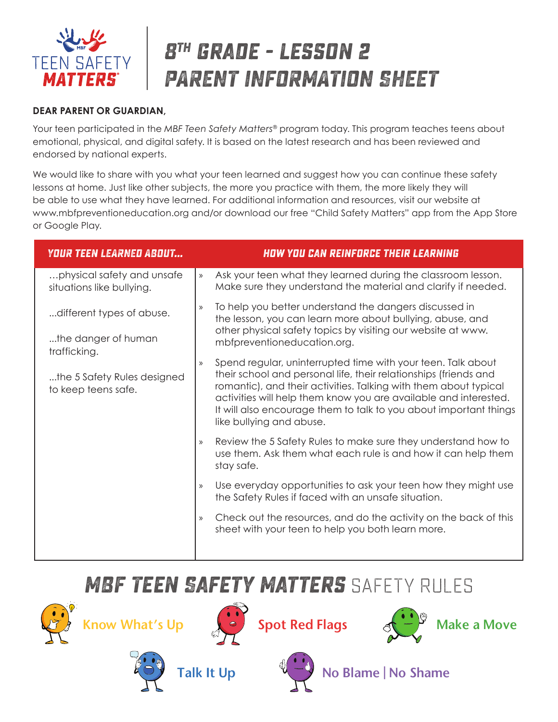

# **8th grade - lesson 2 PARENT INFORMATION SHEET**

#### **DEAR PARENT OR GUARDIAN,**

Your teen participated in the *MBF Teen Safety Matters®* program today. This program teaches teens about emotional, physical, and digital safety. It is based on the latest research and has been reviewed and endorsed by national experts.

We would like to share with you what your teen learned and suggest how you can continue these safety lessons at home. Just like other subjects, the more you practice with them, the more likely they will be able to use what they have learned. For additional information and resources, visit our website at www.mbfpreventioneducation.org and/or download our free "Child Safety Matters" app from the App Store or Google Play.

| <b>YOUR TEEN LEARNED ABOUT</b>                          |               | <b>HOW YOU CAN REINFORCE THEIR LEARNING</b>                                                                                                                                                                                                                                                                                                                               |
|---------------------------------------------------------|---------------|---------------------------------------------------------------------------------------------------------------------------------------------------------------------------------------------------------------------------------------------------------------------------------------------------------------------------------------------------------------------------|
| physical safety and unsafe<br>situations like bullying. | $\mathcal{Y}$ | Ask your teen what they learned during the classroom lesson.<br>Make sure they understand the material and clarify if needed.                                                                                                                                                                                                                                             |
| different types of abuse.                               | $\mathcal{Y}$ | To help you better understand the dangers discussed in<br>the lesson, you can learn more about bullying, abuse, and<br>other physical safety topics by visiting our website at www.<br>mbfpreventioneducation.org.                                                                                                                                                        |
| the danger of human<br>trafficking.                     |               |                                                                                                                                                                                                                                                                                                                                                                           |
| the 5 Safety Rules designed<br>to keep teens safe.      | $\mathcal{Y}$ | Spend regular, uninterrupted time with your teen. Talk about<br>their school and personal life, their relationships (friends and<br>romantic), and their activities. Talking with them about typical<br>activities will help them know you are available and interested.<br>It will also encourage them to talk to you about important things<br>like bullying and abuse. |
|                                                         | $\mathcal{Y}$ | Review the 5 Safety Rules to make sure they understand how to<br>use them. Ask them what each rule is and how it can help them<br>stay safe.                                                                                                                                                                                                                              |
|                                                         | $\mathcal{Y}$ | Use everyday opportunities to ask your teen how they might use<br>the Safety Rules if faced with an unsafe situation.                                                                                                                                                                                                                                                     |
|                                                         | $\mathcal{Y}$ | Check out the resources, and do the activity on the back of this<br>sheet with your teen to help you both learn more.                                                                                                                                                                                                                                                     |
|                                                         |               |                                                                                                                                                                                                                                                                                                                                                                           |

### **MBF Teen Safety Matters** SAFETY RULES















Talk It Up  $\sqrt[4]{\frac{1}{2}}$  No Blame | No Shame